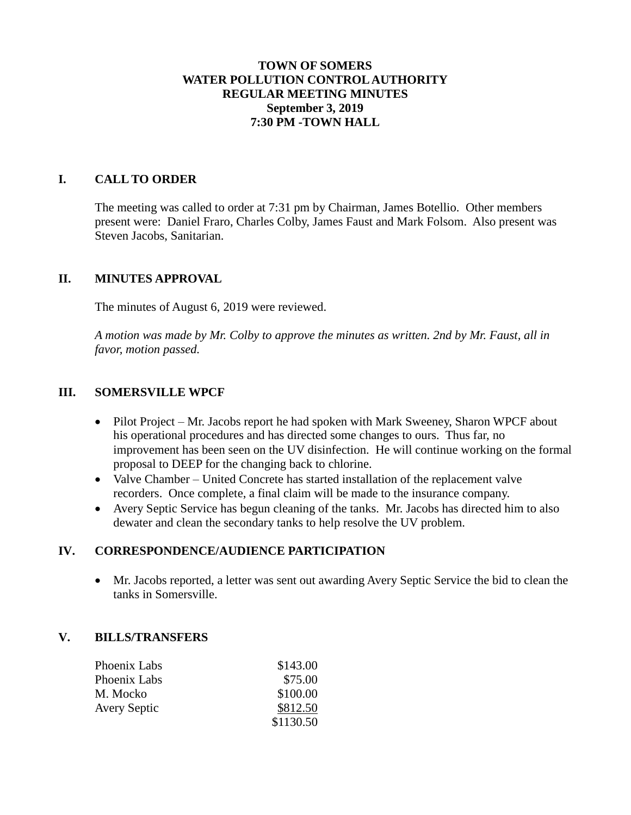## **TOWN OF SOMERS WATER POLLUTION CONTROL AUTHORITY REGULAR MEETING MINUTES September 3, 2019 7:30 PM -TOWN HALL**

## **I. CALL TO ORDER**

The meeting was called to order at 7:31 pm by Chairman, James Botellio. Other members present were: Daniel Fraro, Charles Colby, James Faust and Mark Folsom. Also present was Steven Jacobs, Sanitarian.

### **II. MINUTES APPROVAL**

The minutes of August 6, 2019 were reviewed.

*A motion was made by Mr. Colby to approve the minutes as written. 2nd by Mr. Faust, all in favor, motion passed.*

## **III. SOMERSVILLE WPCF**

- Pilot Project Mr. Jacobs report he had spoken with Mark Sweeney, Sharon WPCF about his operational procedures and has directed some changes to ours. Thus far, no improvement has been seen on the UV disinfection. He will continue working on the formal proposal to DEEP for the changing back to chlorine.
- Valve Chamber United Concrete has started installation of the replacement valve recorders. Once complete, a final claim will be made to the insurance company.
- Avery Septic Service has begun cleaning of the tanks. Mr. Jacobs has directed him to also dewater and clean the secondary tanks to help resolve the UV problem.

### **IV. CORRESPONDENCE/AUDIENCE PARTICIPATION**

 Mr. Jacobs reported, a letter was sent out awarding Avery Septic Service the bid to clean the tanks in Somersville.

### **V. BILLS/TRANSFERS**

| Phoenix Labs        | \$143.00  |
|---------------------|-----------|
| Phoenix Labs        | \$75.00   |
| M. Mocko            | \$100.00  |
| <b>Avery Septic</b> | \$812.50  |
|                     | \$1130.50 |